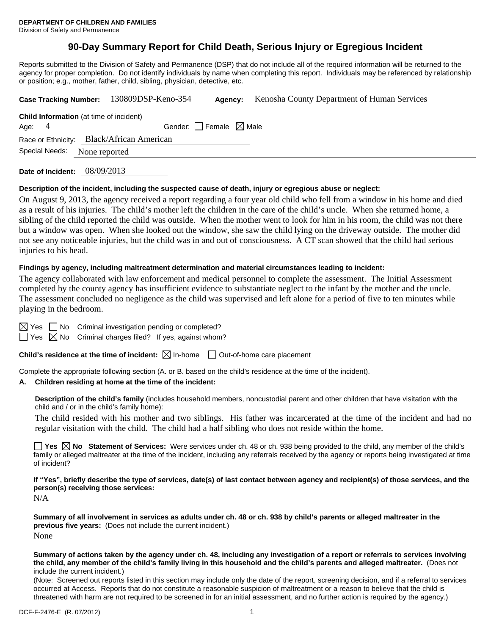# **90-Day Summary Report for Child Death, Serious Injury or Egregious Incident**

Reports submitted to the Division of Safety and Permanence (DSP) that do not include all of the required information will be returned to the agency for proper completion. Do not identify individuals by name when completing this report. Individuals may be referenced by relationship or position; e.g., mother, father, child, sibling, physician, detective, etc.

|          |                                 |                                                | Case Tracking Number: 130809DSP-Keno-354 | Agency: | Kenosha County Department of Human Services |  |
|----------|---------------------------------|------------------------------------------------|------------------------------------------|---------|---------------------------------------------|--|
|          |                                 | <b>Child Information</b> (at time of incident) |                                          |         |                                             |  |
| Age: $4$ | Gender: Female $\boxtimes$ Male |                                                |                                          |         |                                             |  |
|          |                                 | Race or Ethnicity: Black/African American      |                                          |         |                                             |  |
|          | Special Needs:                  | None reported                                  |                                          |         |                                             |  |
|          |                                 |                                                |                                          |         |                                             |  |

**Date of Incident:** 08/09/2013

#### **Description of the incident, including the suspected cause of death, injury or egregious abuse or neglect:**

On August 9, 2013, the agency received a report regarding a four year old child who fell from a window in his home and died as a result of his injuries. The child's mother left the children in the care of the child's uncle. When she returned home, a sibling of the child reported the child was outside. When the mother went to look for him in his room, the child was not there but a window was open. When she looked out the window, she saw the child lying on the driveway outside. The mother did not see any noticeable injuries, but the child was in and out of consciousness. A CT scan showed that the child had serious injuries to his head.

#### **Findings by agency, including maltreatment determination and material circumstances leading to incident:**

The agency collaborated with law enforcement and medical personnel to complete the assessment. The Initial Assessment completed by the county agency has insufficient evidence to substantiate neglect to the infant by the mother and the uncle. The assessment concluded no negligence as the child was supervised and left alone for a period of five to ten minutes while playing in the bedroom.

 $\boxtimes$  Yes  $\Box$  No Criminal investigation pending or completed?

 $\Box$  Yes  $\boxtimes$  No Criminal charges filed? If yes, against whom?

**Child's residence at the time of incident:**  $\boxtimes$  In-home  $\Box$  Out-of-home care placement

Complete the appropriate following section (A. or B. based on the child's residence at the time of the incident).

#### **A. Children residing at home at the time of the incident:**

**Description of the child's family** (includes household members, noncustodial parent and other children that have visitation with the child and / or in the child's family home):

 The child resided with his mother and two siblings. His father was incarcerated at the time of the incident and had no regular visitation with the child. The child had a half sibling who does not reside within the home.

■ Yes **No** Statement of Services: Were services under ch. 48 or ch. 938 being provided to the child, any member of the child's family or alleged maltreater at the time of the incident, including any referrals received by the agency or reports being investigated at time of incident?

**If "Yes", briefly describe the type of services, date(s) of last contact between agency and recipient(s) of those services, and the person(s) receiving those services:** 

N/A

**Summary of all involvement in services as adults under ch. 48 or ch. 938 by child's parents or alleged maltreater in the previous five years:** (Does not include the current incident.) None

**Summary of actions taken by the agency under ch. 48, including any investigation of a report or referrals to services involving the child, any member of the child's family living in this household and the child's parents and alleged maltreater.** (Does not include the current incident.)

(Note: Screened out reports listed in this section may include only the date of the report, screening decision, and if a referral to services occurred at Access. Reports that do not constitute a reasonable suspicion of maltreatment or a reason to believe that the child is threatened with harm are not required to be screened in for an initial assessment, and no further action is required by the agency.)